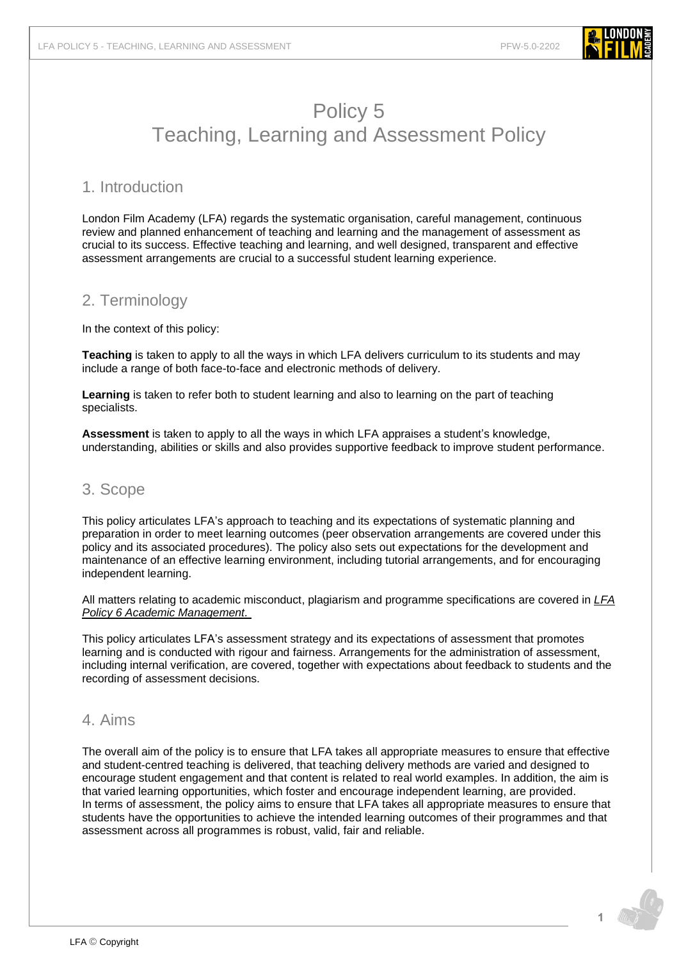

### 1. Introduction

London Film Academy (LFA) regards the systematic organisation, careful management, continuous review and planned enhancement of teaching and learning and the management of assessment as crucial to its success. Effective teaching and learning, and well designed, transparent and effective assessment arrangements are crucial to a successful student learning experience.

# 2. Terminology

In the context of this policy:

**Teaching** is taken to apply to all the ways in which LFA delivers curriculum to its students and may include a range of both face-to-face and electronic methods of delivery.

**Learning** is taken to refer both to student learning and also to learning on the part of teaching specialists.

**Assessment** is taken to apply to all the ways in which LFA appraises a student's knowledge, understanding, abilities or skills and also provides supportive feedback to improve student performance.

### 3. Scope

This policy articulates LFA's approach to teaching and its expectations of systematic planning and preparation in order to meet learning outcomes (peer observation arrangements are covered under this policy and its associated procedures). The policy also sets out expectations for the development and maintenance of an effective learning environment, including tutorial arrangements, and for encouraging independent learning.

All matters relating to academic misconduct, plagiarism and programme specifications are covered in *[LFA](https://www.londonfilmacademy.com/LFA_Policy_6_Academic_management.pdf)  Policy 6 [Academic Management.](https://www.londonfilmacademy.com/LFA_Policy_6_Academic_management.pdf)*

This policy articulates LFA's assessment strategy and its expectations of assessment that promotes learning and is conducted with rigour and fairness. Arrangements for the administration of assessment, including internal verification, are covered, together with expectations about feedback to students and the recording of assessment decisions.

### 4. Aims

The overall aim of the policy is to ensure that LFA takes all appropriate measures to ensure that effective and student-centred teaching is delivered, that teaching delivery methods are varied and designed to encourage student engagement and that content is related to real world examples. In addition, the aim is that varied learning opportunities, which foster and encourage independent learning, are provided. In terms of assessment, the policy aims to ensure that LFA takes all appropriate measures to ensure that students have the opportunities to achieve the intended learning outcomes of their programmes and that assessment across all programmes is robust, valid, fair and reliable.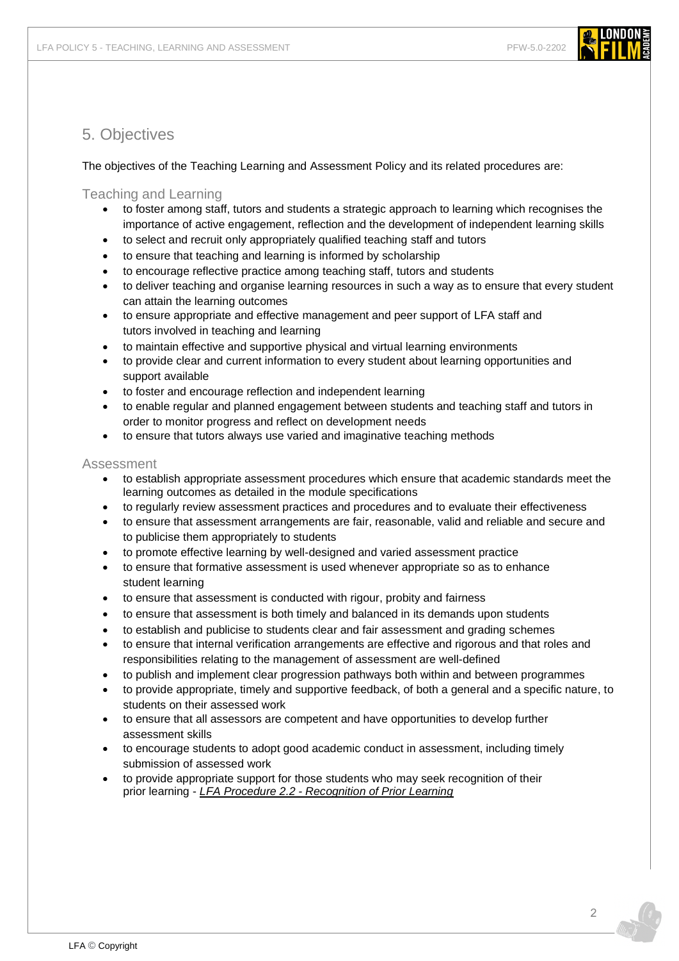

## 5. Objectives

The objectives of the Teaching Learning and Assessment Policy and its related procedures are:

Teaching and Learning

- to foster among staff, tutors and students a strategic approach to learning which recognises the importance of active engagement, reflection and the development of independent learning skills
- to select and recruit only appropriately qualified teaching staff and tutors
- to ensure that teaching and learning is informed by scholarship
- to encourage reflective practice among teaching staff, tutors and students
- to deliver teaching and organise learning resources in such a way as to ensure that every student can attain the learning outcomes
- to ensure appropriate and effective management and peer support of LFA staff and tutors involved in teaching and learning
- to maintain effective and supportive physical and virtual learning environments
- to provide clear and current information to every student about learning opportunities and support available
- to foster and encourage reflection and independent learning
- to enable regular and planned engagement between students and teaching staff and tutors in order to monitor progress and reflect on development needs
- to ensure that tutors always use varied and imaginative teaching methods

#### Assessment

- to establish appropriate assessment procedures which ensure that academic standards meet the learning outcomes as detailed in the module specifications
- to regularly review assessment practices and procedures and to evaluate their effectiveness
- to ensure that assessment arrangements are fair, reasonable, valid and reliable and secure and to publicise them appropriately to students
- to promote effective learning by well-designed and varied assessment practice
- to ensure that formative assessment is used whenever appropriate so as to enhance student learning
- to ensure that assessment is conducted with rigour, probity and fairness
- to ensure that assessment is both timely and balanced in its demands upon students
- to establish and publicise to students clear and fair assessment and grading schemes
- to ensure that internal verification arrangements are effective and rigorous and that roles and responsibilities relating to the management of assessment are well-defined
- to publish and implement clear progression pathways both within and between programmes
- to provide appropriate, timely and supportive feedback, of both a general and a specific nature, to students on their assessed work
- to ensure that all assessors are competent and have opportunities to develop further assessment skills
- to encourage students to adopt good academic conduct in assessment, including timely submission of assessed work
- to provide appropriate support for those students who may seek recognition of their prior learning - *LFA Procedure 2.2 - [Recognition of Prior Learning](https://www.londonfilmacademy.com/LFA_Procedure_2.2_Recognition_of_prior_learning.pdf)*